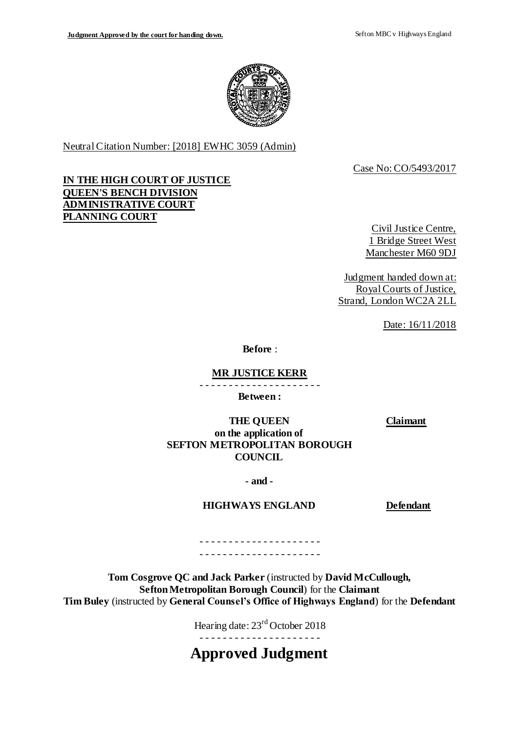

Neutral Citation Number: [2018] EWHC 3059 (Admin)

Case No: CO/5493/2017

# **IN THE HIGH COURT OF JUSTICE QUEEN'S BENCH DIVISION ADMINISTRATIVE COURT PLANNING COURT**

Civil Justice Centre, 1 Bridge Street West Manchester M60 9DJ

Judgment handed down at: Royal Courts of Justice, Strand, London WC2A 2LL

Date: 16/11/2018

**Before** :

## **MR JUSTICE KERR**

- - - - - - - - - - - - - - - - - - - - -

**Between :**

**Claimant**

**THE QUEEN on the application of SEFTON METROPOLITAN BOROUGH COUNCIL**

**- and -**

# **HIGHWAYS ENGLAND Defendant**

- - - - - - - - - - - - - - - - - - - - - - - - - - - - - - - - - - - - - - - - - -

**Tom Cosgrove QC and Jack Parker** (instructed by **David McCullough, SeftonMetropolitan Borough Council**) for the **Claimant Tim Buley** (instructed by **General Counsel's Office of Highways England**) for the **Defendant**

Hearing date: 23rd October 2018

**Approved Judgment**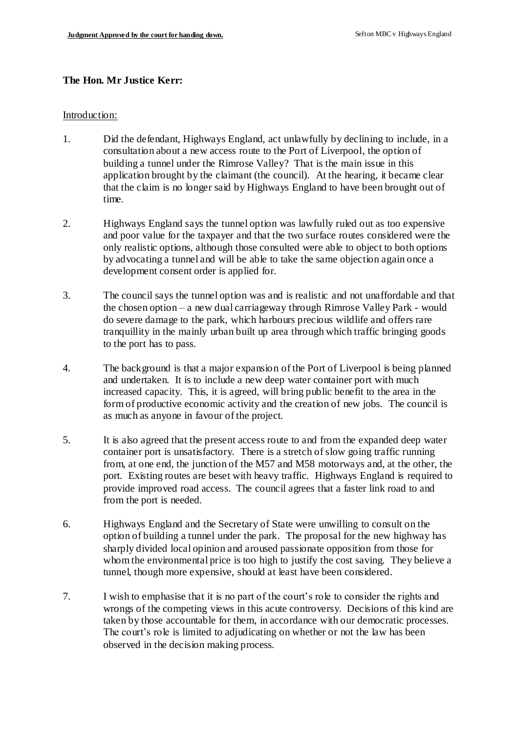## **The Hon. Mr Justice Kerr:**

#### Introduction:

- 1. Did the defendant, Highways England, act unlawfully by declining to include, in a consultation about a new access route to the Port of Liverpool, the option of building a tunnel under the Rimrose Valley? That is the main issue in this application brought by the claimant (the council). At the hearing, it became clear that the claim is no longer said by Highways England to have been brought out of time.
- 2. Highways England says the tunnel option was lawfully ruled out as too expensive and poor value for the taxpayer and that the two surface routes considered were the only realistic options, although those consulted were able to object to both options by advocating a tunnel and will be able to take the same objection again once a development consent order is applied for.
- 3. The council says the tunnel option was and is realistic and not unaffordable and that the chosen option – a new dual carriageway through Rimrose Valley Park - would do severe damage to the park, which harbours precious wildlife and offers rare tranquillity in the mainly urban built up area through which traffic bringing goods to the port has to pass.
- 4. The background is that a major expansion of the Port of Liverpool is being planned and undertaken. It is to include a new deep water container port with much increased capacity. This, it is agreed, will bring public benefit to the area in the form of productive economic activity and the creation of new jobs. The council is as much as anyone in favour of the project.
- 5. It is also agreed that the present access route to and from the expanded deep water container port is unsatisfactory. There is a stretch of slow going traffic running from, at one end, the junction of the M57 and M58 motorways and, at the other, the port. Existing routes are beset with heavy traffic. Highways England is required to provide improved road access. The council agrees that a faster link road to and from the port is needed.
- 6. Highways England and the Secretary of State were unwilling to consult on the option of building a tunnel under the park. The proposal for the new highway has sharply divided local opinion and aroused passionate opposition from those for whom the environmental price is too high to justify the cost saving. They believe a tunnel, though more expensive, should at least have been considered.
- 7. I wish to emphasise that it is no part of the court's role to consider the rights and wrongs of the competing views in this acute controversy. Decisions of this kind are taken by those accountable for them, in accordance with our democratic processes. The court's role is limited to adjudicating on whether or not the law has been observed in the decision making process.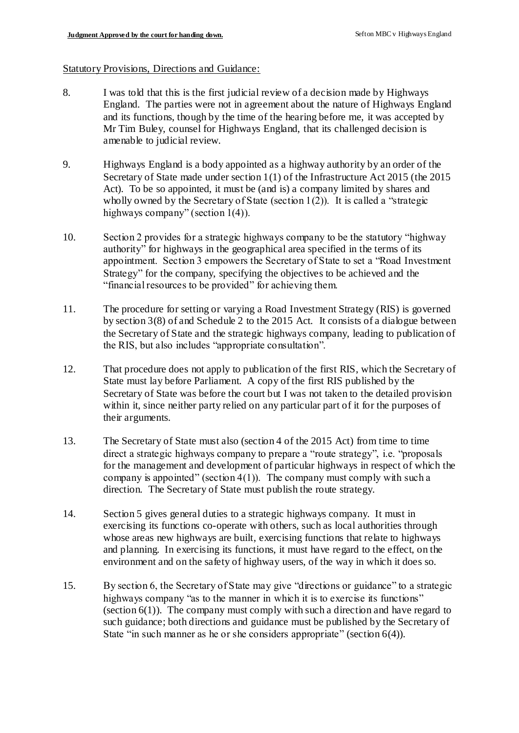## Statutory Provisions, Directions and Guidance:

- 8. I was told that this is the first judicial review of a decision made by Highways England. The parties were not in agreement about the nature of Highways England and its functions, though by the time of the hearing before me, it was accepted by Mr Tim Buley, counsel for Highways England, that its challenged decision is amenable to judicial review.
- 9. Highways England is a body appointed as a highway authority by an order of the Secretary of State made under section 1(1) of the Infrastructure Act 2015 (the 2015 Act). To be so appointed, it must be (and is) a company limited by shares and wholly owned by the Secretary of State (section  $1(2)$ ). It is called a "strategic highways company" (section 1(4)).
- 10. Section 2 provides for a strategic highways company to be the statutory "highway authority" for highways in the geographical area specified in the terms of its appointment. Section 3 empowers the Secretary of State to set a "Road Investment Strategy" for the company, specifying the objectives to be achieved and the "financial resources to be provided" for achieving them.
- 11. The procedure for setting or varying a Road Investment Strategy (RIS) is governed by section 3(8) of and Schedule 2 to the 2015 Act. It consists of a dialogue between the Secretary of State and the strategic highways company, leading to publication of the RIS, but also includes "appropriate consultation".
- 12. That procedure does not apply to publication of the first RIS, which the Secretary of State must lay before Parliament. A copy of the first RIS published by the Secretary of State was before the court but I was not taken to the detailed provision within it, since neither party relied on any particular part of it for the purposes of their arguments.
- 13. The Secretary of State must also (section 4 of the 2015 Act) from time to time direct a strategic highways company to prepare a "route strategy", i.e. "proposals for the management and development of particular highways in respect of which the company is appointed" (section  $4(1)$ ). The company must comply with such a direction. The Secretary of State must publish the route strategy.
- 14. Section 5 gives general duties to a strategic highways company. It must in exercising its functions co-operate with others, such as local authorities through whose areas new highways are built, exercising functions that relate to highways and planning. In exercising its functions, it must have regard to the effect, on the environment and on the safety of highway users, of the way in which it does so.
- 15. By section 6, the Secretary of State may give "directions or guidance" to a strategic highways company "as to the manner in which it is to exercise its functions" (section 6(1)). The company must comply with such a direction and have regard to such guidance; both directions and guidance must be published by the Secretary of State "in such manner as he or she considers appropriate" (section  $6(4)$ ).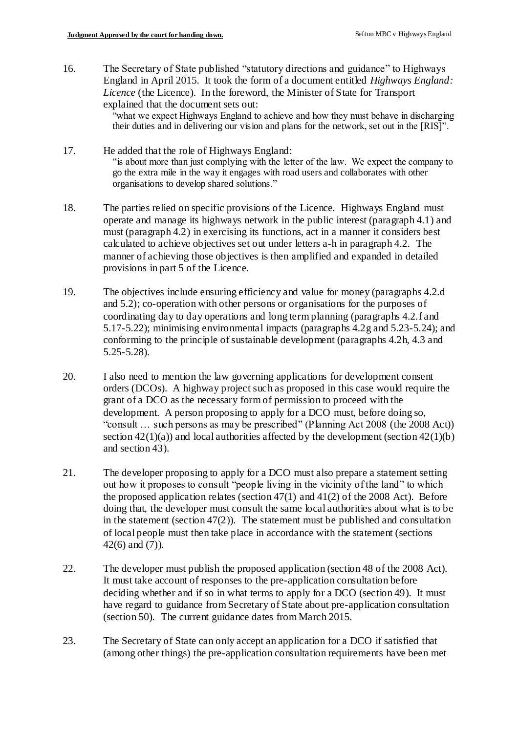16. The Secretary of State published "statutory directions and guidance" to Highways England in April 2015. It took the form of a document entitled *Highways England: Licence* (the Licence). In the foreword, the Minister of State for Transport explained that the document sets out:

> "what we expect Highways England to achieve and how they must behave in discharging their duties and in delivering our vision and plans for the network, set out in the [RIS]".

- 17. He added that the role of Highways England: "is about more than just complying with the letter of the law. We expect the company to go the extra mile in the way it engages with road users and collaborates with other organisations to develop shared solutions."
- 18. The parties relied on specific provisions of the Licence. Highways England must operate and manage its highways network in the public interest (paragraph 4.1) and must (paragraph 4.2) in exercising its functions, act in a manner it considers best calculated to achieve objectives set out under letters a-h in paragraph 4.2. The manner of achieving those objectives is then amplified and expanded in detailed provisions in part 5 of the Licence.
- 19. The objectives include ensuring efficiency and value for money (paragraphs 4.2.d and 5.2); co-operation with other persons or organisations for the purposes of coordinating day to day operations and long term planning (paragraphs 4.2.f and 5.17-5.22); minimising environmental impacts (paragraphs 4.2g and 5.23-5.24); and conforming to the principle of sustainable development (paragraphs 4.2h, 4.3 and 5.25-5.28).
- 20. I also need to mention the law governing applications for development consent orders (DCOs). A highway project such as proposed in this case would require the grant of a DCO as the necessary form of permission to proceed with the development. A person proposing to apply for a DCO must, before doing so, "consult … such persons as may be prescribed" (Planning Act 2008 (the 2008 Act)) section  $42(1)(a)$  and local authorities affected by the development (section  $42(1)(b)$ ) and section 43).
- 21. The developer proposing to apply for a DCO must also prepare a statement setting out how it proposes to consult "people living in the vicinity of the land" to which the proposed application relates (section  $47(1)$  and  $41(2)$  of the 2008 Act). Before doing that, the developer must consult the same local authorities about what is to be in the statement (section  $47(2)$ ). The statement must be published and consultation of local people must then take place in accordance with the statement (sections 42(6) and (7)).
- 22. The developer must publish the proposed application (section 48 of the 2008 Act). It must take account of responses to the pre-application consultation before deciding whether and if so in what terms to apply for a DCO (section 49). It must have regard to guidance from Secretary of State about pre-application consultation (section 50). The current guidance dates from March 2015.
- 23. The Secretary of State can only accept an application for a DCO if satisfied that (among other things) the pre-application consultation requirements have been met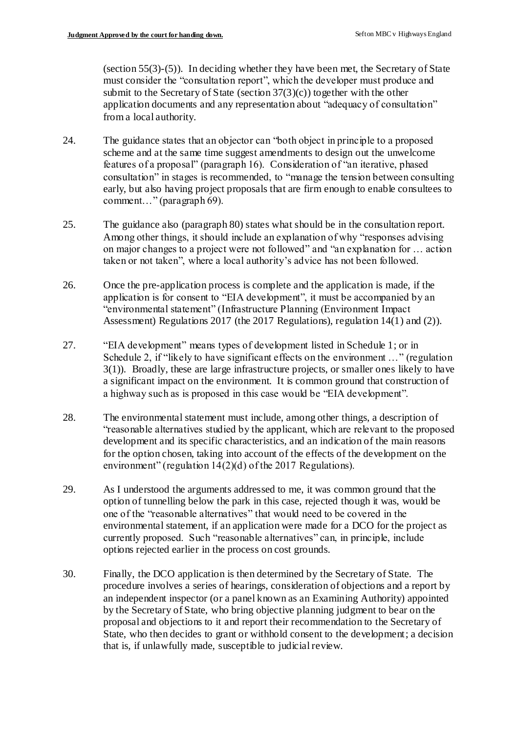(section  $55(3)-(5)$ ). In deciding whether they have been met, the Secretary of State must consider the "consultation report", which the developer must produce and submit to the Secretary of State (section  $37(3)(c)$ ) together with the other application documents and any representation about "adequacy of consultation" from a local authority.

- 24. The guidance states that an objector can "both object in principle to a proposed scheme and at the same time suggest amendments to design out the unwelcome features of a proposal" (paragraph 16). Consideration of "an iterative, phased consultation" in stages is recommended, to "manage the tension between consulting early, but also having project proposals that are firm enough to enable consultees to comment…" (paragraph 69).
- 25. The guidance also (paragraph 80) states what should be in the consultation report. Among other things, it should include an explanation of why "responses advising on major changes to a project were not followed" and "an explanation for … action taken or not taken", where a local authority's advice has not been followed.
- 26. Once the pre-application process is complete and the application is made, if the application is for consent to "EIA development", it must be accompanied by an "environmental statement" (Infrastructure Planning (Environment Impact Assessment) Regulations 2017 (the 2017 Regulations), regulation 14(1) and (2)).
- 27. "EIA development" means types of development listed in Schedule 1; or in Schedule 2, if "likely to have significant effects on the environment …" (regulation 3(1)). Broadly, these are large infrastructure projects, or smaller ones likely to have a significant impact on the environment. It is common ground that construction of a highway such as is proposed in this case would be "EIA development".
- 28. The environmental statement must include, among other things, a description of "reasonable alternatives studied by the applicant, which are relevant to the proposed development and its specific characteristics, and an indication of the main reasons for the option chosen, taking into account of the effects of the development on the environment" (regulation 14(2)(d) of the 2017 Regulations).
- 29. As I understood the arguments addressed to me, it was common ground that the option of tunnelling below the park in this case, rejected though it was, would be one of the "reasonable alternatives" that would need to be covered in the environmental statement, if an application were made for a DCO for the project as currently proposed. Such "reasonable alternatives" can, in principle, include options rejected earlier in the process on cost grounds.
- 30. Finally, the DCO application is then determined by the Secretary of State. The procedure involves a series of hearings, consideration of objections and a report by an independent inspector (or a panel known as an Examining Authority) appointed by the Secretary of State, who bring objective planning judgment to bear on the proposal and objections to it and report their recommendation to the Secretary of State, who then decides to grant or withhold consent to the development; a decision that is, if unlawfully made, susceptible to judicial review.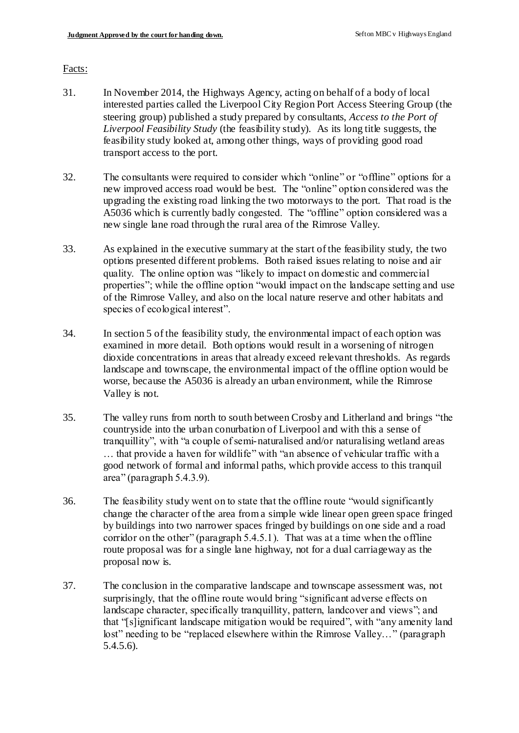## Facts:

- 31. In November 2014, the Highways Agency, acting on behalf of a body of local interested parties called the Liverpool City Region Port Access Steering Group (the steering group) published a study prepared by consultants, *Access to the Port of Liverpool Feasibility Study* (the feasibility study). As its long title suggests, the feasibility study looked at, among other things, ways of providing good road transport access to the port.
- 32. The consultants were required to consider which "online" or "offline" options for a new improved access road would be best. The "online" option considered was the upgrading the existing road linking the two motorways to the port. That road is the A5036 which is currently badly congested. The "offline" option considered was a new single lane road through the rural area of the Rimrose Valley.
- 33. As explained in the executive summary at the start of the feasibility study, the two options presented different problems. Both raised issues relating to noise and air quality. The online option was "likely to impact on domestic and commercial properties"; while the offline option "would impact on the landscape setting and use of the Rimrose Valley, and also on the local nature reserve and other habitats and species of ecological interest".
- 34. In section 5 of the feasibility study, the environmental impact of each option was examined in more detail. Both options would result in a worsening of nitrogen dioxide concentrations in areas that already exceed relevant thresholds. As regards landscape and townscape, the environmental impact of the offline option would be worse, because the A5036 is already an urban environment, while the Rimrose Valley is not.
- 35. The valley runs from north to south between Crosby and Litherland and brings "the countryside into the urban conurbation of Liverpool and with this a sense of tranquillity", with "a couple of semi-naturalised and/or naturalising wetland areas … that provide a haven for wildlife" with "an absence of vehicular traffic with a good network of formal and informal paths, which provide access to this tranquil area" (paragraph 5.4.3.9).
- 36. The feasibility study went on to state that the offline route "would significantly change the character of the area from a simple wide linear open green space fringed by buildings into two narrower spaces fringed by buildings on one side and a road corridor on the other" (paragraph 5.4.5.1). That was at a time when the offline route proposal was for a single lane highway, not for a dual carriageway as the proposal now is.
- 37. The conclusion in the comparative landscape and townscape assessment was, not surprisingly, that the offline route would bring "significant adverse effects on landscape character, specifically tranquillity, pattern, landcover and views"; and that "[s]ignificant landscape mitigation would be required", with "any amenity land lost" needing to be "replaced elsewhere within the Rimrose Valley…" (paragraph 5.4.5.6).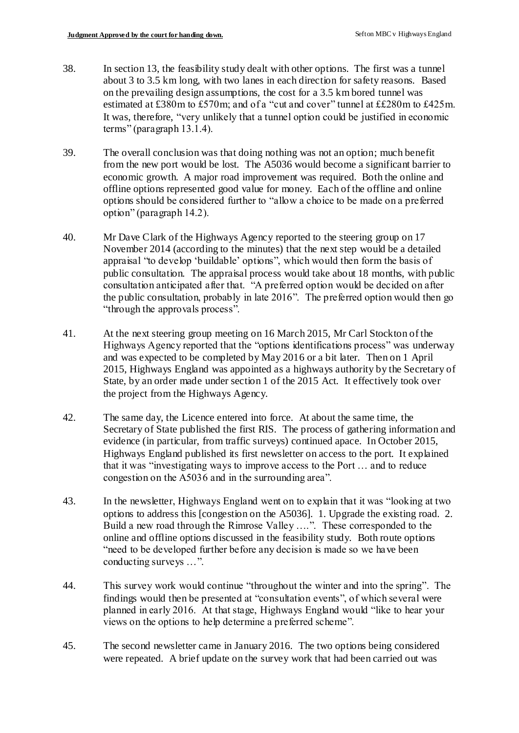- 38. In section 13, the feasibility study dealt with other options. The first was a tunnel about 3 to 3.5 km long, with two lanes in each direction for safety reasons. Based on the prevailing design assumptions, the cost for a 3.5 km bored tunnel was estimated at £380m to £570m; and of a "cut and cover" tunnel at ££280m to £425m. It was, therefore, "very unlikely that a tunnel option could be justified in economic terms" (paragraph 13.1.4).
- 39. The overall conclusion was that doing nothing was not an option; much benefit from the new port would be lost. The A5036 would become a significant barrier to economic growth. A major road improvement was required. Both the online and offline options represented good value for money. Each of the offline and online options should be considered further to "allow a choice to be made on a preferred option" (paragraph 14.2).
- 40. Mr Dave Clark of the Highways Agency reported to the steering group on 17 November 2014 (according to the minutes) that the next step would be a detailed appraisal "to develop 'buildable' options", which would then form the basis of public consultation. The appraisal process would take about 18 months, with public consultation anticipated after that. "A preferred option would be decided on after the public consultation, probably in late 2016". The preferred option would then go "through the approvals process".
- 41. At the next steering group meeting on 16 March 2015, Mr Carl Stockton of the Highways Agency reported that the "options identifications process" was underway and was expected to be completed by May 2016 or a bit later. Then on 1 April 2015, Highways England was appointed as a highways authority by the Secretary of State, by an order made under section 1 of the 2015 Act. It effectively took over the project from the Highways Agency.
- 42. The same day, the Licence entered into force. At about the same time, the Secretary of State published the first RIS. The process of gathering information and evidence (in particular, from traffic surveys) continued apace. In October 2015, Highways England published its first newsletter on access to the port. It explained that it was "investigating ways to improve access to the Port … and to reduce congestion on the A5036 and in the surrounding area".
- 43. In the newsletter, Highways England went on to explain that it was "looking at two options to address this [congestion on the A5036]. 1. Upgrade the existing road. 2. Build a new road through the Rimrose Valley ….". These corresponded to the online and offline options discussed in the feasibility study. Both route options "need to be developed further before any decision is made so we have been conducting surveys …".
- 44. This survey work would continue "throughout the winter and into the spring". The findings would then be presented at "consultation events", of which several were planned in early 2016. At that stage, Highways England would "like to hear your views on the options to help determine a preferred scheme".
- 45. The second newsletter came in January 2016. The two options being considered were repeated. A brief update on the survey work that had been carried out was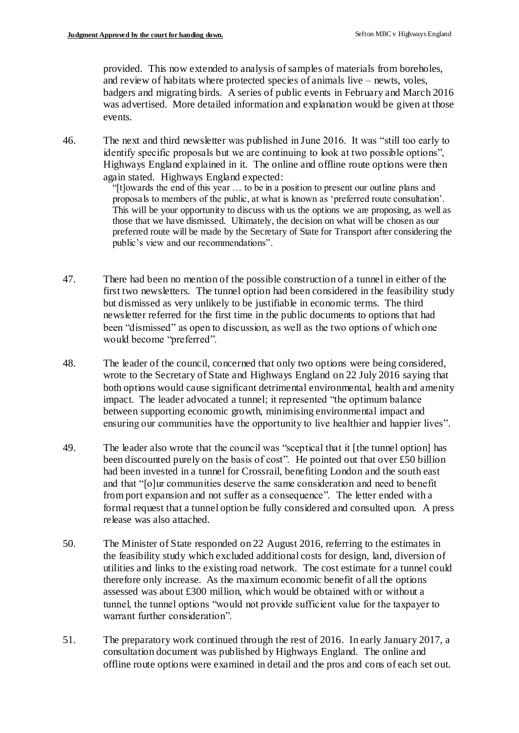provided. This now extended to analysis of samples of materials from boreholes, and review of habitats where protected species of animals live – newts, voles, badgers and migrating birds. A series of public events in February and March 2016 was advertised. More detailed information and explanation would be given at those events.

46. The next and third newsletter was published in June 2016. It was "still too early to identify specific proposals but we are continuing to look at two possible options", Highways England explained in it. The online and offline route options were then again stated. Highways England expected:

"[t]owards the end of this year … to be in a position to present our outline plans and proposals to members of the public, at what is known as 'preferred route consultation'. This will be your opportunity to discuss with us the options we are proposing, as well as those that we have dismissed. Ultimately, the decision on what will be chosen as our preferred route will be made by the Secretary of State for Transport after considering the public's view and our recommendations".

- 47. There had been no mention of the possible construction of a tunnel in either of the first two newsletters. The tunnel option had been considered in the feasibility study but dismissed as very unlikely to be justifiable in economic terms. The third newsletter referred for the first time in the public documents to options that had been "dismissed" as open to discussion, as well as the two options of which one would become "preferred".
- 48. The leader of the council, concerned that only two options were being considered, wrote to the Secretary of State and Highways England on 22 July 2016 saying that both options would cause significant detrimental environmental, health and amenity impact. The leader advocated a tunnel; it represented "the optimum balance between supporting economic growth, minimising environmental impact and ensuring our communities have the opportunity to live healthier and happier lives".
- 49. The leader also wrote that the council was "sceptical that it [the tunnel option] has been discounted purely on the basis of cost". He pointed out that over £50 billion had been invested in a tunnel for Crossrail, benefiting London and the south east and that "[o]ur communities deserve the same consideration and need to benefit from port expansion and not suffer as a consequence". The letter ended with a formal request that a tunnel option be fully considered and consulted upon. A press release was also attached.
- 50. The Minister of State responded on 22 August 2016, referring to the estimates in the feasibility study which excluded additional costs for design, land, diversion of utilities and links to the existing road network. The cost estimate for a tunnel could therefore only increase. As the maximum economic benefit of all the options assessed was about £300 million, which would be obtained with or without a tunnel, the tunnel options "would not provide sufficient value for the taxpayer to warrant further consideration".
- 51. The preparatory work continued through the rest of 2016. In early January 2017, a consultation document was published by Highways England. The online and offline route options were examined in detail and the pros and cons of each set out.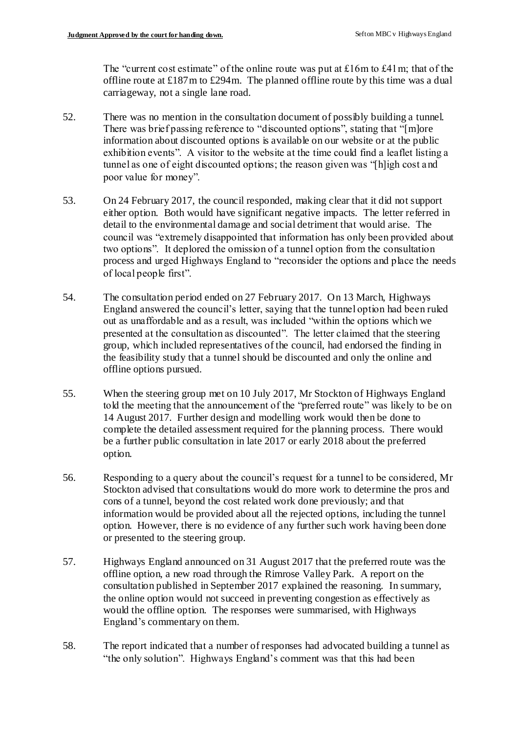The "current cost estimate" of the online route was put at £16m to £41m; that of the offline route at £187m to £294m. The planned offline route by this time was a dual carriageway, not a single lane road.

- 52. There was no mention in the consultation document of possibly building a tunnel. There was brief passing reference to "discounted options", stating that "[m]ore information about discounted options is available on our website or at the public exhibition events". A visitor to the website at the time could find a leaflet listing a tunnel as one of eight discounted options; the reason given was "[h]igh cost and poor value for money".
- 53. On 24 February 2017, the council responded, making clear that it did not support either option. Both would have significant negative impacts. The letter referred in detail to the environmental damage and social detriment that would arise. The council was "extremely disappointed that information has only been provided about two options". It deplored the omission of a tunnel option from the consultation process and urged Highways England to "reconsider the options and place the needs of local people first".
- 54. The consultation period ended on 27 February 2017. On 13 March, Highways England answered the council's letter, saying that the tunnel option had been ruled out as unaffordable and as a result, was included "within the options which we presented at the consultation as discounted". The letter claimed that the steering group, which included representatives of the council, had endorsed the finding in the feasibility study that a tunnel should be discounted and only the online and offline options pursued.
- 55. When the steering group met on 10 July 2017, Mr Stockton of Highways England told the meeting that the announcement of the "preferred route" was likely to be on 14 August 2017. Further design and modelling work would then be done to complete the detailed assessment required for the planning process. There would be a further public consultation in late 2017 or early 2018 about the preferred option.
- 56. Responding to a query about the council's request for a tunnel to be considered, Mr Stockton advised that consultations would do more work to determine the pros and cons of a tunnel, beyond the cost related work done previously; and that information would be provided about all the rejected options, including the tunnel option. However, there is no evidence of any further such work having been done or presented to the steering group.
- 57. Highways England announced on 31 August 2017 that the preferred route was the offline option, a new road through the Rimrose Valley Park. A report on the consultation published in September 2017 explained the reasoning. In summary, the online option would not succeed in preventing congestion as effectively as would the offline option. The responses were summarised, with Highways England's commentary on them.
- 58. The report indicated that a number of responses had advocated building a tunnel as "the only solution". Highways England's comment was that this had been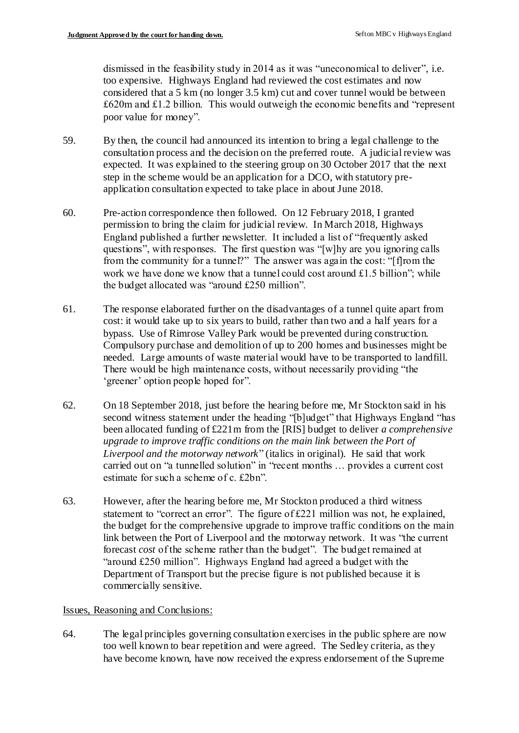dismissed in the feasibility study in 2014 as it was "uneconomical to deliver", i.e. too expensive. Highways England had reviewed the cost estimates and now considered that a 5 km (no longer 3.5 km) cut and cover tunnel would be between £620m and £1.2 billion. This would outweigh the economic benefits and "represent poor value for money".

- 59. By then, the council had announced its intention to bring a legal challenge to the consultation process and the decision on the preferred route. A judicial review was expected. It was explained to the steering group on 30 October 2017 that the next step in the scheme would be an application for a DCO, with statutory preapplication consultation expected to take place in about June 2018.
- 60. Pre-action correspondence then followed. On 12 February 2018, I granted permission to bring the claim for judicial review. In March 2018, Highways England published a further newsletter. It included a list of "frequently asked questions", with responses. The first question was "[w]hy are you ignoring calls from the community for a tunnel?" The answer was again the cost: "[f]rom the work we have done we know that a tunnel could cost around £1.5 billion"; while the budget allocated was "around £250 million".
- 61. The response elaborated further on the disadvantages of a tunnel quite apart from cost: it would take up to six years to build, rather than two and a half years for a bypass. Use of Rimrose Valley Park would be prevented during construction. Compulsory purchase and demolition of up to 200 homes and businesses might be needed. Large amounts of waste material would have to be transported to landfill. There would be high maintenance costs, without necessarily providing "the 'greener' option people hoped for".
- 62. On 18 September 2018, just before the hearing before me, Mr Stockton said in his second witness statement under the heading "[b]udget" that Highways England "has been allocated funding of £221m from the [RIS] budget to deliver *a comprehensive upgrade to improve traffic conditions on the main link between the Port of Liverpool and the motorway network*" (italics in original). He said that work carried out on "a tunnelled solution" in "recent months … provides a current cost estimate for such a scheme of c. £2bn".
- 63. However, after the hearing before me, Mr Stockton produced a third witness statement to "correct an error". The figure of £221 million was not, he explained, the budget for the comprehensive upgrade to improve traffic conditions on the main link between the Port of Liverpool and the motorway network. It was "the current forecast *cost* of the scheme rather than the budget". The budget remained at "around £250 million". Highways England had agreed a budget with the Department of Transport but the precise figure is not published because it is commercially sensitive.

## Issues, Reasoning and Conclusions:

64. The legal principles governing consultation exercises in the public sphere are now too well known to bear repetition and were agreed. The Sedley criteria, as they have become known, have now received the express endorsement of the Supreme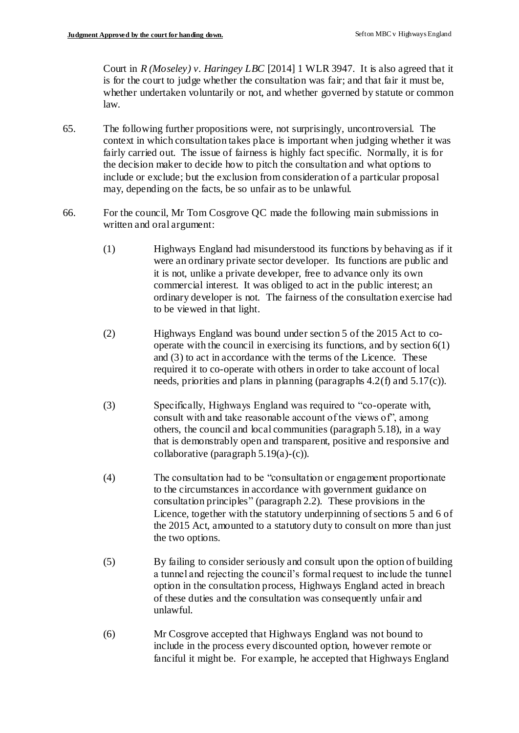Court in *R (Moseley) v. Haringey LBC* [2014] 1 WLR 3947. It is also agreed that it is for the court to judge whether the consultation was fair; and that fair it must be, whether undertaken voluntarily or not, and whether governed by statute or common law.

- 65. The following further propositions were, not surprisingly, uncontroversial. The context in which consultation takes place is important when judging whether it was fairly carried out. The issue of fairness is highly fact specific. Normally, it is for the decision maker to decide how to pitch the consultation and what options to include or exclude; but the exclusion from consideration of a particular proposal may, depending on the facts, be so unfair as to be unlawful.
- 66. For the council, Mr Tom Cosgrove QC made the following main submissions in written and oral argument:
	- (1) Highways England had misunderstood its functions by behaving as if it were an ordinary private sector developer. Its functions are public and it is not, unlike a private developer, free to advance only its own commercial interest. It was obliged to act in the public interest; an ordinary developer is not. The fairness of the consultation exercise had to be viewed in that light.
	- (2) Highways England was bound under section 5 of the 2015 Act to cooperate with the council in exercising its functions, and by section 6(1) and (3) to act in accordance with the terms of the Licence. These required it to co-operate with others in order to take account of local needs, priorities and plans in planning (paragraphs 4.2(f) and 5.17(c)).
	- (3) Specifically, Highways England was required to "co-operate with, consult with and take reasonable account of the views of", among others, the council and local communities (paragraph 5.18), in a way that is demonstrably open and transparent, positive and responsive and collaborative (paragraph 5.19(a)-(c)).
	- (4) The consultation had to be "consultation or engagement proportionate to the circumstances in accordance with government guidance on consultation principles" (paragraph 2.2). These provisions in the Licence, together with the statutory underpinning of sections 5 and 6 of the 2015 Act, amounted to a statutory duty to consult on more than just the two options.
	- (5) By failing to consider seriously and consult upon the option of building a tunnel and rejecting the council's formal request to include the tunnel option in the consultation process, Highways England acted in breach of these duties and the consultation was consequently unfair and unlawful.
	- (6) Mr Cosgrove accepted that Highways England was not bound to include in the process every discounted option, however remote or fanciful it might be. For example, he accepted that Highways England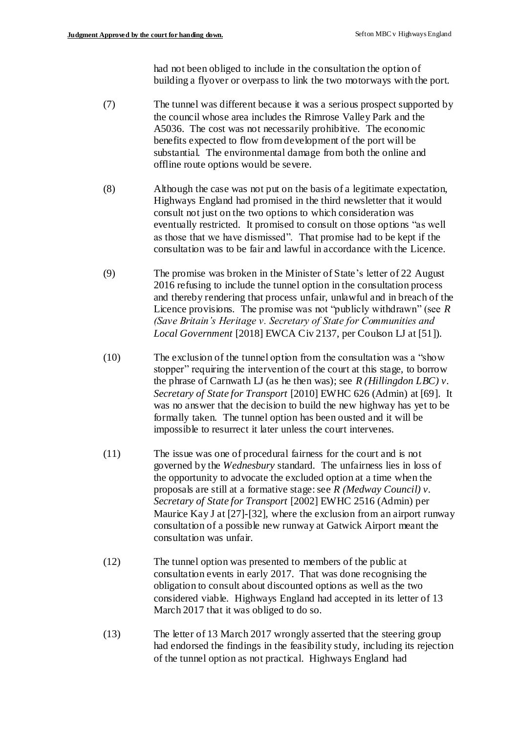had not been obliged to include in the consultation the option of building a flyover or overpass to link the two motorways with the port.

- (7) The tunnel was different because it was a serious prospect supported by the council whose area includes the Rimrose Valley Park and the A5036. The cost was not necessarily prohibitive. The economic benefits expected to flow from development of the port will be substantial. The environmental damage from both the online and offline route options would be severe.
- (8) Although the case was not put on the basis of a legitimate expectation, Highways England had promised in the third newsletter that it would consult not just on the two options to which consideration was eventually restricted. It promised to consult on those options "as well as those that we have dismissed". That promise had to be kept if the consultation was to be fair and lawful in accordance with the Licence.
- (9) The promise was broken in the Minister of State's letter of 22 August 2016 refusing to include the tunnel option in the consultation process and thereby rendering that process unfair, unlawful and in breach of the Licence provisions. The promise was not "publicly withdrawn" (see *R (Save Britain's Heritage v. Secretary of State for Communities and Local Government* [2018] EWCA Civ 2137, per Coulson LJ at [51]).
- (10) The exclusion of the tunnel option from the consultation was a "show stopper" requiring the intervention of the court at this stage, to borrow the phrase of Carnwath LJ (as he then was); see *R (Hillingdon LBC) v. Secretary of State for Transport* [2010] EWHC 626 (Admin) at [69]. It was no answer that the decision to build the new highway has yet to be formally taken. The tunnel option has been ousted and it will be impossible to resurrect it later unless the court intervenes.
- (11) The issue was one of procedural fairness for the court and is not governed by the *Wednesbury* standard. The unfairness lies in loss of the opportunity to advocate the excluded option at a time when the proposals are still at a formative stage: see *R (Medway Council) v. Secretary of State for Transport* [2002] EWHC 2516 (Admin) per Maurice Kay J at [27]-[32], where the exclusion from an airport runway consultation of a possible new runway at Gatwick Airport meant the consultation was unfair.
- (12) The tunnel option was presented to members of the public at consultation events in early 2017. That was done recognising the obligation to consult about discounted options as well as the two considered viable. Highways England had accepted in its letter of 13 March 2017 that it was obliged to do so.
- (13) The letter of 13 March 2017 wrongly asserted that the steering group had endorsed the findings in the feasibility study, including its rejection of the tunnel option as not practical. Highways England had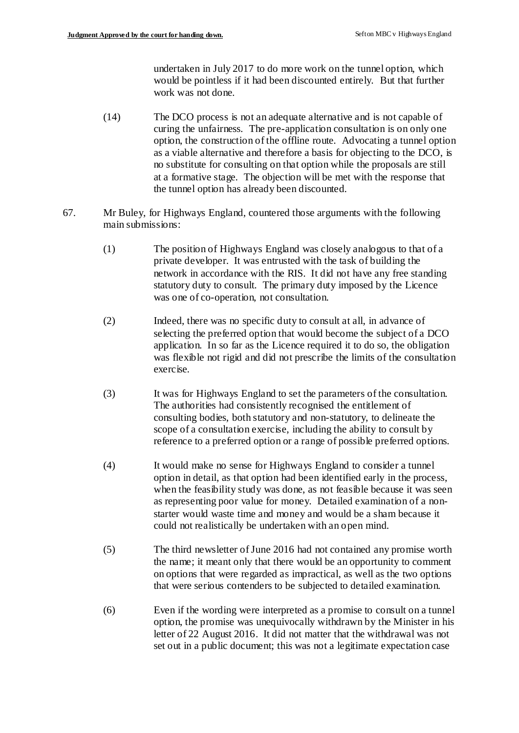undertaken in July 2017 to do more work on the tunnel option, which would be pointless if it had been discounted entirely. But that further work was not done.

- (14) The DCO process is not an adequate alternative and is not capable of curing the unfairness. The pre-application consultation is on only one option, the construction of the offline route. Advocating a tunnel option as a viable alternative and therefore a basis for objecting to the DCO, is no substitute for consulting on that option while the proposals are still at a formative stage. The objection will be met with the response that the tunnel option has already been discounted.
- 67. Mr Buley, for Highways England, countered those arguments with the following main submissions:
	- (1) The position of Highways England was closely analogous to that of a private developer. It was entrusted with the task of building the network in accordance with the RIS. It did not have any free standing statutory duty to consult. The primary duty imposed by the Licence was one of co-operation, not consultation.
	- (2) Indeed, there was no specific duty to consult at all, in advance of selecting the preferred option that would become the subject of a DCO application. In so far as the Licence required it to do so, the obligation was flexible not rigid and did not prescribe the limits of the consultation exercise.
	- (3) It was for Highways England to set the parameters of the consultation. The authorities had consistently recognised the entitlement of consulting bodies, both statutory and non-statutory, to delineate the scope of a consultation exercise, including the ability to consult by reference to a preferred option or a range of possible preferred options.
	- (4) It would make no sense for Highways England to consider a tunnel option in detail, as that option had been identified early in the process, when the feasibility study was done, as not feasible because it was seen as representing poor value for money. Detailed examination of a nonstarter would waste time and money and would be a sham because it could not realistically be undertaken with an open mind.
	- (5) The third newsletter of June 2016 had not contained any promise worth the name; it meant only that there would be an opportunity to comment on options that were regarded as impractical, as well as the two options that were serious contenders to be subjected to detailed examination.
	- (6) Even if the wording were interpreted as a promise to consult on a tunnel option, the promise was unequivocally withdrawn by the Minister in his letter of 22 August 2016. It did not matter that the withdrawal was not set out in a public document; this was not a legitimate expectation case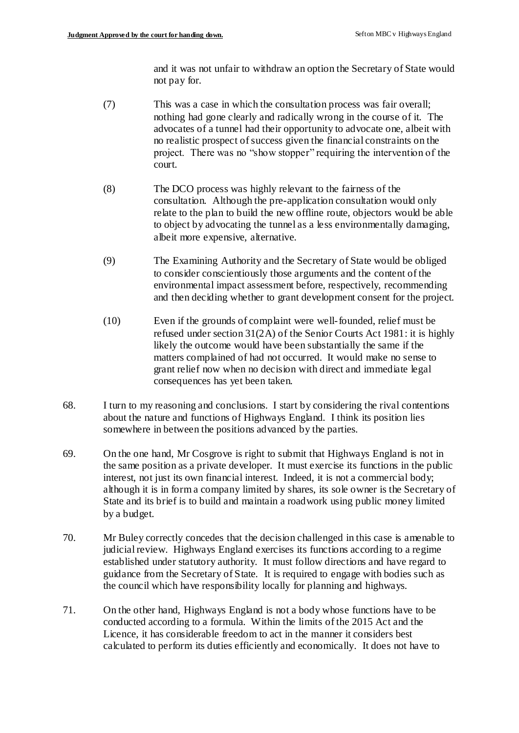and it was not unfair to withdraw an option the Secretary of State would not pay for.

- (7) This was a case in which the consultation process was fair overall; nothing had gone clearly and radically wrong in the course of it. The advocates of a tunnel had their opportunity to advocate one, albeit with no realistic prospect of success given the financial constraints on the project. There was no "show stopper" requiring the intervention of the court.
- (8) The DCO process was highly relevant to the fairness of the consultation. Although the pre-application consultation would only relate to the plan to build the new offline route, objectors would be able to object by advocating the tunnel as a less environmentally damaging, albeit more expensive, alternative.
- (9) The Examining Authority and the Secretary of State would be obliged to consider conscientiously those arguments and the content of the environmental impact assessment before, respectively, recommending and then deciding whether to grant development consent for the project.
- (10) Even if the grounds of complaint were well-founded, relief must be refused under section 31(2A) of the Senior Courts Act 1981: it is highly likely the outcome would have been substantially the same if the matters complained of had not occurred. It would make no sense to grant relief now when no decision with direct and immediate legal consequences has yet been taken.
- 68. I turn to my reasoning and conclusions. I start by considering the rival contentions about the nature and functions of Highways England. I think its position lies somewhere in between the positions advanced by the parties.
- 69. On the one hand, Mr Cosgrove is right to submit that Highways England is not in the same position as a private developer. It must exercise its functions in the public interest, not just its own financial interest. Indeed, it is not a commercial body; although it is in form a company limited by shares, its sole owner is the Secretary of State and its brief is to build and maintain a roadwork using public money limited by a budget.
- 70. Mr Buley correctly concedes that the decision challenged in this case is amenable to judicial review. Highways England exercises its functions according to a regime established under statutory authority. It must follow directions and have regard to guidance from the Secretary of State. It is required to engage with bodies such as the council which have responsibility locally for planning and highways.
- 71. On the other hand, Highways England is not a body whose functions have to be conducted according to a formula. Within the limits of the 2015 Act and the Licence, it has considerable freedom to act in the manner it considers best calculated to perform its duties efficiently and economically. It does not have to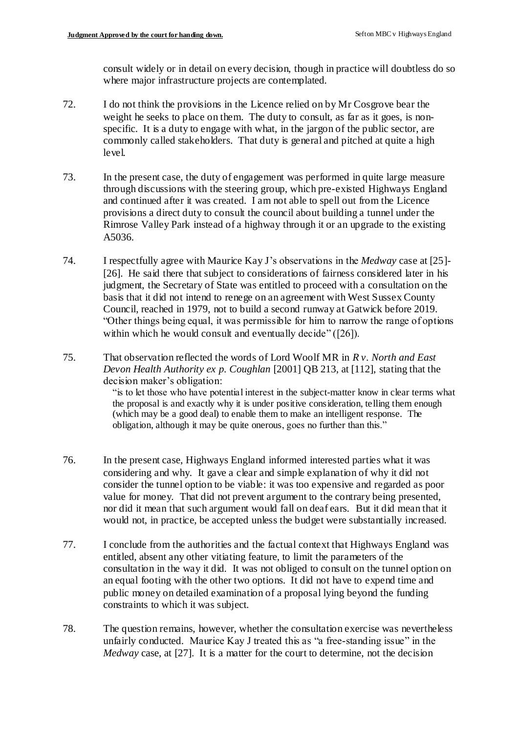consult widely or in detail on every decision, though in practice will doubtless do so where major infrastructure projects are contemplated.

- 72. I do not think the provisions in the Licence relied on by Mr Cosgrove bear the weight he seeks to place on them. The duty to consult, as far as it goes, is nonspecific. It is a duty to engage with what, in the jargon of the public sector, are commonly called stakeholders. That duty is general and pitched at quite a high level.
- 73. In the present case, the duty of engagement was performed in quite large measure through discussions with the steering group, which pre-existed Highways England and continued after it was created. I am not able to spell out from the Licence provisions a direct duty to consult the council about building a tunnel under the Rimrose Valley Park instead of a highway through it or an upgrade to the existing A5036.
- 74. I respectfully agree with Maurice Kay J's observations in the *Medway* case at [25]- [26]. He said there that subject to considerations of fairness considered later in his judgment, the Secretary of State was entitled to proceed with a consultation on the basis that it did not intend to renege on an agreement with West Sussex County Council, reached in 1979, not to build a second runway at Gatwick before 2019. "Other things being equal, it was permissible for him to narrow the range of options within which he would consult and eventually decide" ([26]).
- 75. That observation reflected the words of Lord Woolf MR in *R v. North and East Devon Health Authority ex p. Coughlan* [2001] QB 213, at [112], stating that the decision maker's obligation:

"is to let those who have potential interest in the subject-matter know in clear terms what the proposal is and exactly why it is under positive consideration, telling them enough (which may be a good deal) to enable them to make an intelligent response. The obligation, although it may be quite onerous, goes no further than this."

- 76. In the present case, Highways England informed interested parties what it was considering and why. It gave a clear and simple explanation of why it did not consider the tunnel option to be viable: it was too expensive and regarded as poor value for money. That did not prevent argument to the contrary being presented, nor did it mean that such argument would fall on deaf ears. But it did mean that it would not, in practice, be accepted unless the budget were substantially increased.
- 77. I conclude from the authorities and the factual context that Highways England was entitled, absent any other vitiating feature, to limit the parameters of the consultation in the way it did. It was not obliged to consult on the tunnel option on an equal footing with the other two options. It did not have to expend time and public money on detailed examination of a proposal lying beyond the funding constraints to which it was subject.
- 78. The question remains, however, whether the consultation exercise was nevertheless unfairly conducted. Maurice Kay J treated this as "a free-standing issue" in the *Medway* case, at [27]. It is a matter for the court to determine, not the decision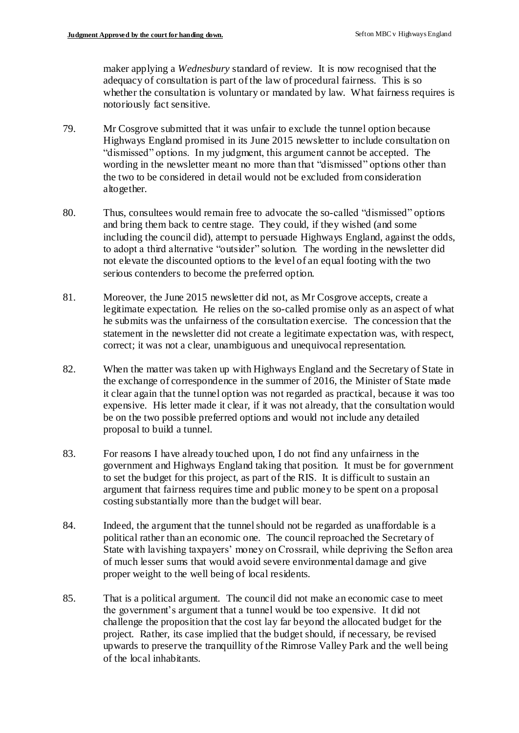maker applying a *Wednesbury* standard of review. It is now recognised that the adequacy of consultation is part of the law of procedural fairness. This is so whether the consultation is voluntary or mandated by law. What fairness requires is notoriously fact sensitive.

- 79. Mr Cosgrove submitted that it was unfair to exclude the tunnel option because Highways England promised in its June 2015 newsletter to include consultation on "dismissed" options. In my judgment, this argument cannot be accepted. The wording in the newsletter meant no more than that "dismissed" options other than the two to be considered in detail would not be excluded from consideration altogether.
- 80. Thus, consultees would remain free to advocate the so-called "dismissed" options and bring them back to centre stage. They could, if they wished (and some including the council did), attempt to persuade Highways England, against the odds, to adopt a third alternative "outsider" solution. The wording in the newsletter did not elevate the discounted options to the level of an equal footing with the two serious contenders to become the preferred option.
- 81. Moreover, the June 2015 newsletter did not, as Mr Cosgrove accepts, create a legitimate expectation. He relies on the so-called promise only as an aspect of what he submits was the unfairness of the consultation exercise. The concession that the statement in the newsletter did not create a legitimate expectation was, with respect, correct; it was not a clear, unambiguous and unequivocal representation.
- 82. When the matter was taken up with Highways England and the Secretary of State in the exchange of correspondence in the summer of 2016, the Minister of State made it clear again that the tunnel option was not regarded as practical, because it was too expensive. His letter made it clear, if it was not already, that the consultation would be on the two possible preferred options and would not include any detailed proposal to build a tunnel.
- 83. For reasons I have already touched upon, I do not find any unfairness in the government and Highways England taking that position. It must be for government to set the budget for this project, as part of the RIS. It is difficult to sustain an argument that fairness requires time and public money to be spent on a proposal costing substantially more than the budget will bear.
- 84. Indeed, the argument that the tunnel should not be regarded as unaffordable is a political rather than an economic one. The council reproached the Secretary of State with lavishing taxpayers' money on Crossrail, while depriving the Sefton area of much lesser sums that would avoid severe environmental damage and give proper weight to the well being of local residents.
- 85. That is a political argument. The council did not make an economic case to meet the government's argument that a tunnel would be too expensive. It did not challenge the proposition that the cost lay far beyond the allocated budget for the project. Rather, its case implied that the budget should, if necessary, be revised upwards to preserve the tranquillity of the Rimrose Valley Park and the well being of the local inhabitants.